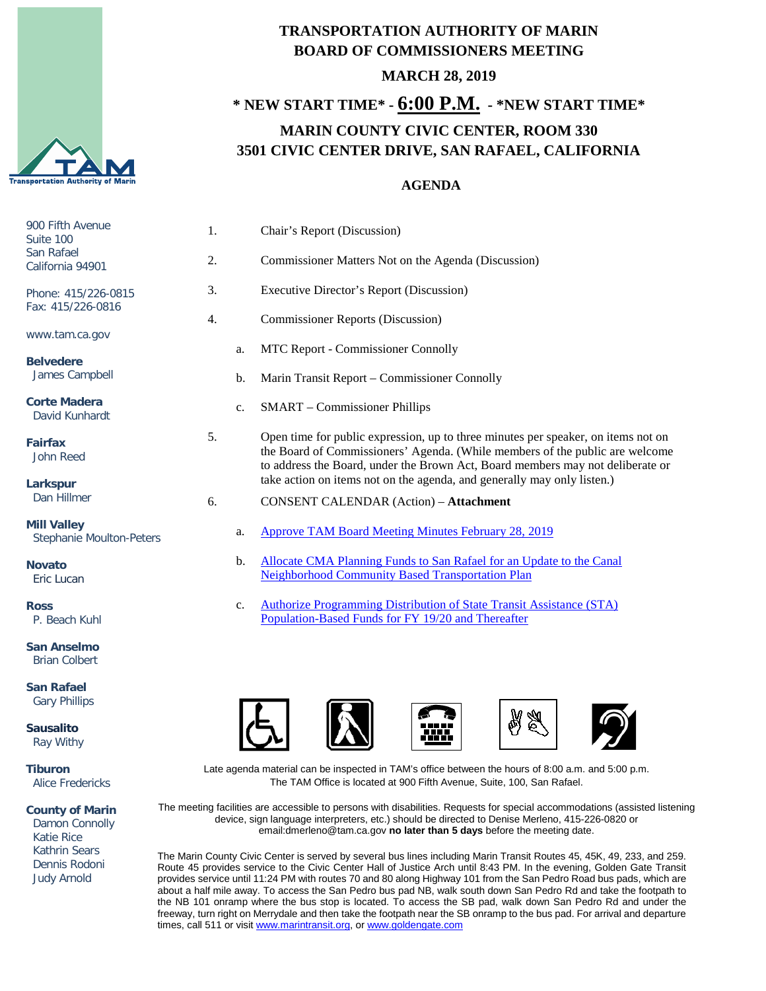

## **TRANSPORTATION AUTHORITY OF MARIN BOARD OF COMMISSIONERS MEETING MARCH 28, 2019**

## **\* NEW START TIME\* - 6:00 P.M. - \*NEW START TIME\* MARIN COUNTY CIVIC CENTER, ROOM 330 3501 CIVIC CENTER DRIVE, SAN RAFAEL, CALIFORNIA**

## **AGENDA**

| 900 Fifth Avenue<br>Suite 100<br>San Rafael<br>California 94901 | 1. |             | Chair's Report (Discussion)                                                                                                                                                                                                                         |
|-----------------------------------------------------------------|----|-------------|-----------------------------------------------------------------------------------------------------------------------------------------------------------------------------------------------------------------------------------------------------|
|                                                                 | 2. |             | Commissioner Matters Not on the Agenda (Discussion)                                                                                                                                                                                                 |
| Phone: 415/226-0815<br>Fax: 415/226-0816                        | 3. |             | Executive Director's Report (Discussion)                                                                                                                                                                                                            |
|                                                                 | 4. |             | <b>Commissioner Reports (Discussion)</b>                                                                                                                                                                                                            |
| www.tam.ca.gov                                                  |    | a.          | MTC Report - Commissioner Connolly                                                                                                                                                                                                                  |
| <b>Belvedere</b><br>James Campbell                              |    | b.          | Marin Transit Report – Commissioner Connolly                                                                                                                                                                                                        |
| <b>Corte Madera</b><br>David Kunhardt                           |    | c.          | <b>SMART</b> – Commissioner Phillips                                                                                                                                                                                                                |
| <b>Fairfax</b><br>John Reed                                     | 5. |             | Open time for public expression, up to three minutes per speaker, on items not on<br>the Board of Commissioners' Agenda. (While members of the public are welcome<br>to address the Board, under the Brown Act, Board members may not deliberate or |
| Larkspur                                                        |    |             | take action on items not on the agenda, and generally may only listen.)                                                                                                                                                                             |
| Dan Hillmer                                                     | 6. |             | <b>CONSENT CALENDAR (Action) - Attachment</b>                                                                                                                                                                                                       |
| <b>Mill Valley</b><br><b>Stephanie Moulton-Peters</b>           |    | a.          | <b>Approve TAM Board Meeting Minutes February 28, 2019</b>                                                                                                                                                                                          |
| <b>Novato</b><br>Eric Lucan                                     |    | b.          | Allocate CMA Planning Funds to San Rafael for an Update to the Canal<br><b>Neighborhood Community Based Transportation Plan</b>                                                                                                                     |
| <b>Ross</b><br>P. Beach Kuhl                                    |    | $C_{\star}$ | <b>Authorize Programming Distribution of State Transit Assistance (STA)</b><br>Population-Based Funds for FY 19/20 and Thereafter                                                                                                                   |

**San Anselmo** Brian Colbert

**San Rafael** Gary Phillips

**Sausalito** Ray Withy

**Tiburon** Alice Fredericks

**County of Marin**

 Damon Connolly Katie Rice Kathrin Sears Dennis Rodoni Judy Arnold









Late agenda material can be inspected in TAM's office between the hours of 8:00 a.m. and 5:00 p.m. The TAM Office is located at 900 Fifth Avenue, Suite, 100, San Rafael.

The meeting facilities are accessible to persons with disabilities. Requests for special accommodations (assisted listening device, sign language interpreters, etc.) should be directed to Denise Merleno, 415-226-0820 or email:dmerleno@tam.ca.gov **no later than 5 days** before the meeting date.

The Marin County Civic Center is served by several bus lines including Marin Transit Routes 45, 45K, 49, 233, and 259. Route 45 provides service to the Civic Center Hall of Justice Arch until 8:43 PM. In the evening, Golden Gate Transit provides service until 11:24 PM with routes 70 and 80 along Highway 101 from the San Pedro Road bus pads, which are about a half mile away. To access the San Pedro bus pad NB, walk south down San Pedro Rd and take the footpath to the NB 101 onramp where the bus stop is located. To access the SB pad, walk down San Pedro Rd and under the freeway, turn right on Merrydale and then take the footpath near the SB onramp to the bus pad. For arrival and departure times, call 511 or visit [www.marintransit.org,](file://tamfs2/tam/03.%20TAM%20BOARDS%20&%20COMMITTEES/03.01%20TAM%20Board/03.01.03%20Board%20Packets/www.marintransit.org) o[r www.goldengate.com](file://tamfs2/tam/03.%20TAM%20BOARDS%20&%20COMMITTEES/03.01%20TAM%20Board/03.01.03%20Board%20Packets/www.goldengate.com)